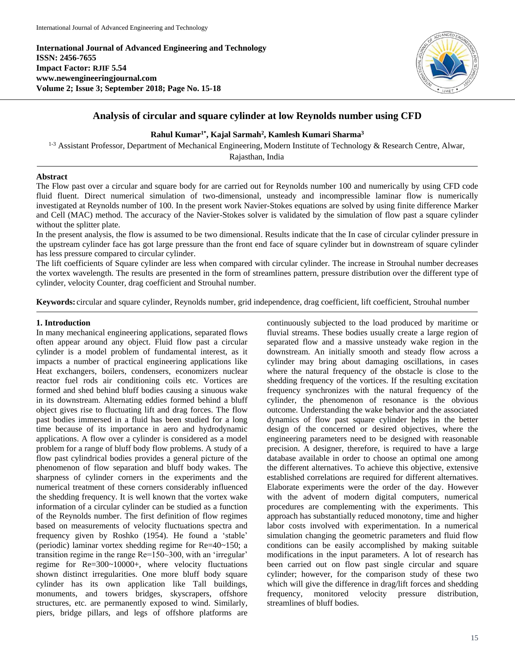**International Journal of Advanced Engineering and Technology ISSN: 2456-7655 Impact Factor: RJIF 5.54 www.newengineeringjournal.com Volume 2; Issue 3; September 2018; Page No. 15-18**



# **Analysis of circular and square cylinder at low Reynolds number using CFD**

## **Rahul Kumar1\* , Kajal Sarmah<sup>2</sup> , Kamlesh Kumari Sharma<sup>3</sup>**

<sup>1-3</sup> Assistant Professor, Department of Mechanical Engineering, Modern Institute of Technology & Research Centre, Alwar,

Rajasthan, India

# **Abstract**

The Flow past over a circular and square body for are carried out for Reynolds number 100 and numerically by using CFD code fluid fluent. Direct numerical simulation of two-dimensional, unsteady and incompressible laminar flow is numerically investigated at Reynolds number of 100. In the present work Navier-Stokes equations are solved by using finite difference Marker and Cell (MAC) method. The accuracy of the Navier-Stokes solver is validated by the simulation of flow past a square cylinder without the splitter plate.

In the present analysis, the flow is assumed to be two dimensional. Results indicate that the In case of circular cylinder pressure in the upstream cylinder face has got large pressure than the front end face of square cylinder but in downstream of square cylinder has less pressure compared to circular cylinder.

The lift coefficients of Square cylinder are less when compared with circular cylinder. The increase in Strouhal number decreases the vortex wavelength. The results are presented in the form of streamlines pattern, pressure distribution over the different type of cylinder, velocity Counter, drag coefficient and Strouhal number.

**Keywords:** circular and square cylinder, Reynolds number, grid independence, drag coefficient, lift coefficient, Strouhal number

## **1. Introduction**

In many mechanical engineering applications, separated flows often appear around any object. Fluid flow past a circular cylinder is a model problem of fundamental interest, as it impacts a number of practical engineering applications like Heat exchangers, boilers, condensers, economizers nuclear reactor fuel rods air conditioning coils etc. Vortices are formed and shed behind bluff bodies causing a sinuous wake in its downstream. Alternating eddies formed behind a bluff object gives rise to fluctuating lift and drag forces. The flow past bodies immersed in a fluid has been studied for a long time because of its importance in aero and hydrodynamic applications. A flow over a cylinder is considered as a model problem for a range of bluff body flow problems. A study of a flow past cylindrical bodies provides a general picture of the phenomenon of flow separation and bluff body wakes. The sharpness of cylinder corners in the experiments and the numerical treatment of these corners considerably influenced the shedding frequency. It is well known that the vortex wake information of a circular cylinder can be studied as a function of the Reynolds number. The first definition of flow regimes based on measurements of velocity fluctuations spectra and frequency given by Roshko (1954). He found a 'stable' (periodic) laminar vortex shedding regime for Re=40~150; a transition regime in the range Re=150~300, with an 'irregular' regime for Re=300~10000+, where velocity fluctuations shown distinct irregularities. One more bluff body square cylinder has its own application like Tall buildings, monuments, and towers bridges, skyscrapers, offshore structures, etc. are permanently exposed to wind. Similarly, piers, bridge pillars, and legs of offshore platforms are continuously subjected to the load produced by maritime or fluvial streams. These bodies usually create a large region of separated flow and a massive unsteady wake region in the downstream. An initially smooth and steady flow across a cylinder may bring about damaging oscillations, in cases where the natural frequency of the obstacle is close to the shedding frequency of the vortices. If the resulting excitation frequency synchronizes with the natural frequency of the cylinder, the phenomenon of resonance is the obvious outcome. Understanding the wake behavior and the associated dynamics of flow past square cylinder helps in the better design of the concerned or desired objectives, where the engineering parameters need to be designed with reasonable precision. A designer, therefore, is required to have a large database available in order to choose an optimal one among the different alternatives. To achieve this objective, extensive established correlations are required for different alternatives. Elaborate experiments were the order of the day. However with the advent of modern digital computers, numerical procedures are complementing with the experiments. This approach has substantially reduced monotony, time and higher labor costs involved with experimentation. In a numerical simulation changing the geometric parameters and fluid flow conditions can be easily accomplished by making suitable modifications in the input parameters. A lot of research has been carried out on flow past single circular and square cylinder; however, for the comparison study of these two which will give the difference in drag/lift forces and shedding frequency, monitored velocity pressure distribution, streamlines of bluff bodies.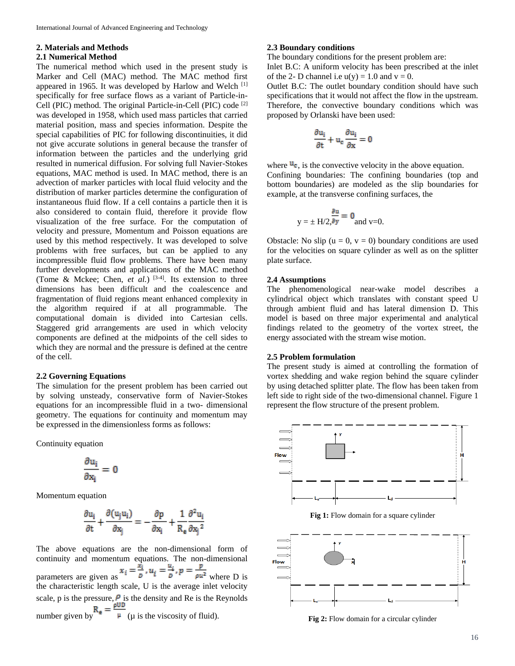#### **2. Materials and Methods**

#### **2.1 Numerical Method**

The numerical method which used in the present study is Marker and Cell (MAC) method. The MAC method first appeared in 1965. It was developed by Harlow and Welch <sup>[1]</sup> specifically for free surface flows as a variant of Particle-in-Cell (PIC) method. The original Particle-in-Cell (PIC) code [2] was developed in 1958, which used mass particles that carried material position, mass and species information. Despite the special capabilities of PIC for following discontinuities, it did not give accurate solutions in general because the transfer of information between the particles and the underlying grid resulted in numerical diffusion. For solving full Navier-Stokes equations, MAC method is used. In MAC method, there is an advection of marker particles with local fluid velocity and the distribution of marker particles determine the configuration of instantaneous fluid flow. If a cell contains a particle then it is also considered to contain fluid, therefore it provide flow visualization of the free surface. For the computation of velocity and pressure, Momentum and Poisson equations are used by this method respectively. It was developed to solve problems with free surfaces, but can be applied to any incompressible fluid flow problems. There have been many further developments and applications of the MAC method (Tome & Mckee; Chen, *et al.*) [3-4]. Its extension to three dimensions has been difficult and the coalescence and fragmentation of fluid regions meant enhanced complexity in the algorithm required if at all programmable. The computational domain is divided into Cartesian cells. Staggered grid arrangements are used in which velocity components are defined at the midpoints of the cell sides to which they are normal and the pressure is defined at the centre of the cell.

#### **2.2 Governing Equations**

The simulation for the present problem has been carried out by solving unsteady, conservative form of Navier-Stokes equations for an incompressible fluid in a two- dimensional geometry. The equations for continuity and momentum may be expressed in the dimensionless forms as follows:

Continuity equation

$$
\frac{\partial u_i}{\partial x_i} = 0
$$

Momentum equation

$$
\frac{\partial u_i}{\partial t} + \frac{\partial (u_j u_i)}{\partial x_i} = -\frac{\partial p}{\partial x_i} + \frac{1}{R_e} \frac{\partial^2 u_i}{\partial x_i^2}
$$

The above equations are the non-dimensional form of continuity and momentum equations. The non-dimensional parameters are given as  $x_i = \frac{x_i}{p}$ ,  $u_i = \frac{u_i}{p}$ ,  $p = \frac{p}{\rho u^2}$  where D is the characteristic length scale, U is the average inlet velocity scale, p is the pressure,  $P$  is the density and Re is the Reynolds number given by  $\mathbb{F}$  ( $\mu$  is the viscosity of fluid).

#### **2.3 Boundary conditions**

The boundary conditions for the present problem are:

Inlet B.C: A uniform velocity has been prescribed at the inlet of the 2- D channel i.e  $u(y) = 1.0$  and  $v = 0$ .

Outlet B.C: The outlet boundary condition should have such specifications that it would not affect the flow in the upstream. Therefore, the convective boundary conditions which was proposed by Orlanski have been used:

$$
\frac{\partial u_i}{\partial t} + u_c \frac{\partial u_i}{\partial x} = 0
$$

where  $\mathbf{u}_c$ , is the convective velocity in the above equation. Confining boundaries: The confining boundaries (top and bottom boundaries) are modeled as the slip boundaries for example, at the transverse confining surfaces, the

$$
y = \pm H/2
$$
,  $\frac{\partial u}{\partial y} = 0$  and v=0.

Obstacle: No slip ( $u = 0$ ,  $v = 0$ ) boundary conditions are used for the velocities on square cylinder as well as on the splitter plate surface.

#### **2.4 Assumptions**

The phenomenological near-wake model describes a cylindrical object which translates with constant speed U through ambient fluid and has lateral dimension D. This model is based on three major experimental and analytical findings related to the geometry of the vortex street, the energy associated with the stream wise motion.

#### **2.5 Problem formulation**

The present study is aimed at controlling the formation of vortex shedding and wake region behind the square cylinder by using detached splitter plate. The flow has been taken from left side to right side of the two-dimensional channel. Figure 1 represent the flow structure of the present problem.



**Fig 1:** Flow domain for a square cylinder



**Fig 2:** Flow domain for a circular cylinder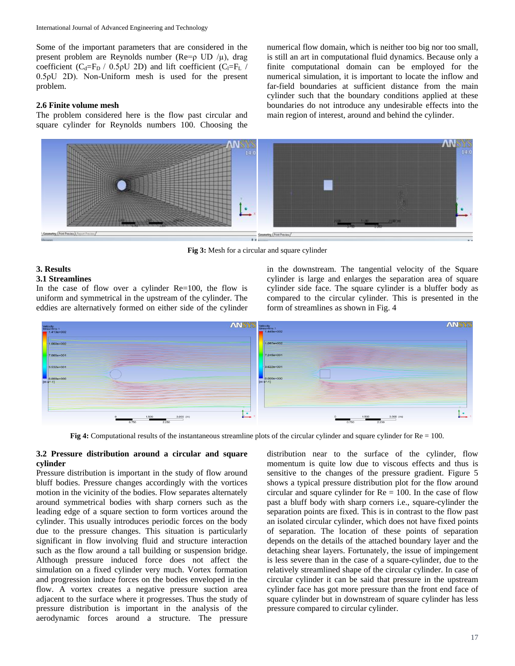Some of the important parameters that are considered in the present problem are Reynolds number ( $\text{Re} = p$  UD / $\mu$ ), drag coefficient ( $C_d = F_D / 0.5 \rho U$  2D) and lift coefficient ( $C_l = F_L / 0.5 \rho U$ 0.5ρU 2D). Non-Uniform mesh is used for the present problem.

## **2.6 Finite volume mesh**

The problem considered here is the flow past circular and square cylinder for Reynolds numbers 100. Choosing the

numerical flow domain, which is neither too big nor too small, is still an art in computational fluid dynamics. Because only a finite computational domain can be employed for the numerical simulation, it is important to locate the inflow and far-field boundaries at sufficient distance from the main cylinder such that the boundary conditions applied at these boundaries do not introduce any undesirable effects into the main region of interest, around and behind the cylinder.



**Fig 3:** Mesh for a circular and square cylinder

# **3. Results**

## **3.1 Streamlines**

In the case of flow over a cylinder Re=100, the flow is uniform and symmetrical in the upstream of the cylinder. The eddies are alternatively formed on either side of the cylinder in the downstream. The tangential velocity of the Square cylinder is large and enlarges the separation area of square cylinder side face. The square cylinder is a bluffer body as compared to the circular cylinder. This is presented in the form of streamlines as shown in Fig. 4



**Fig 4:** Computational results of the instantaneous streamline plots of the circular cylinder and square cylinder for Re = 100.

## **3.2 Pressure distribution around a circular and square cylinder**

Pressure distribution is important in the study of flow around bluff bodies. Pressure changes accordingly with the vortices motion in the vicinity of the bodies. Flow separates alternately around symmetrical bodies with sharp corners such as the leading edge of a square section to form vortices around the cylinder. This usually introduces periodic forces on the body due to the pressure changes. This situation is particularly significant in flow involving fluid and structure interaction such as the flow around a tall building or suspension bridge. Although pressure induced force does not affect the simulation on a fixed cylinder very much. Vortex formation and progression induce forces on the bodies enveloped in the flow. A vortex creates a negative pressure suction area adjacent to the surface where it progresses. Thus the study of pressure distribution is important in the analysis of the aerodynamic forces around a structure. The pressure

distribution near to the surface of the cylinder, flow momentum is quite low due to viscous effects and thus is sensitive to the changes of the pressure gradient. Figure 5 shows a typical pressure distribution plot for the flow around circular and square cylinder for  $Re = 100$ . In the case of flow past a bluff body with sharp corners i.e., square-cylinder the separation points are fixed. This is in contrast to the flow past an isolated circular cylinder, which does not have fixed points of separation. The location of these points of separation depends on the details of the attached boundary layer and the detaching shear layers. Fortunately, the issue of impingement is less severe than in the case of a square-cylinder, due to the relatively streamlined shape of the circular cylinder. In case of circular cylinder it can be said that pressure in the upstream cylinder face has got more pressure than the front end face of square cylinder but in downstream of square cylinder has less pressure compared to circular cylinder.